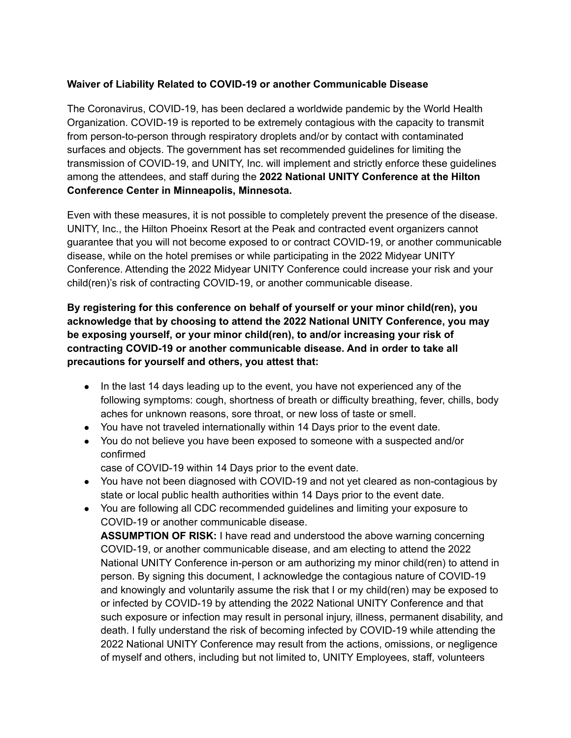## **Waiver of Liability Related to COVID-19 or another Communicable Disease**

The Coronavirus, COVID-19, has been declared a worldwide pandemic by the World Health Organization. COVID-19 is reported to be extremely contagious with the capacity to transmit from person-to-person through respiratory droplets and/or by contact with contaminated surfaces and objects. The government has set recommended guidelines for limiting the transmission of COVID-19, and UNITY, Inc. will implement and strictly enforce these guidelines among the attendees, and staff during the **2022 National UNITY Conference at the Hilton Conference Center in Minneapolis, Minnesota.**

Even with these measures, it is not possible to completely prevent the presence of the disease. UNITY, Inc., the Hilton Phoeinx Resort at the Peak and contracted event organizers cannot guarantee that you will not become exposed to or contract COVID-19, or another communicable disease, while on the hotel premises or while participating in the 2022 Midyear UNITY Conference. Attending the 2022 Midyear UNITY Conference could increase your risk and your child(ren)'s risk of contracting COVID-19, or another communicable disease.

**By registering for this conference on behalf of yourself or your minor child(ren), you acknowledge that by choosing to attend the 2022 National UNITY Conference, you may be exposing yourself, or your minor child(ren), to and/or increasing your risk of contracting COVID-19 or another communicable disease. And in order to take all precautions for yourself and others, you attest that:**

- In the last 14 days leading up to the event, you have not experienced any of the following symptoms: cough, shortness of breath or difficulty breathing, fever, chills, body aches for unknown reasons, sore throat, or new loss of taste or smell.
- You have not traveled internationally within 14 Days prior to the event date.
- You do not believe you have been exposed to someone with a suspected and/or confirmed

case of COVID-19 within 14 Days prior to the event date.

- You have not been diagnosed with COVID-19 and not yet cleared as non-contagious by state or local public health authorities within 14 Days prior to the event date.
- You are following all CDC recommended guidelines and limiting your exposure to COVID-19 or another communicable disease. **ASSUMPTION OF RISK:** I have read and understood the above warning concerning COVID-19, or another communicable disease, and am electing to attend the 2022 National UNITY Conference in-person or am authorizing my minor child(ren) to attend in person. By signing this document, I acknowledge the contagious nature of COVID-19 and knowingly and voluntarily assume the risk that I or my child(ren) may be exposed to or infected by COVID-19 by attending the 2022 National UNITY Conference and that such exposure or infection may result in personal injury, illness, permanent disability, and death. I fully understand the risk of becoming infected by COVID-19 while attending the 2022 National UNITY Conference may result from the actions, omissions, or negligence of myself and others, including but not limited to, UNITY Employees, staff, volunteers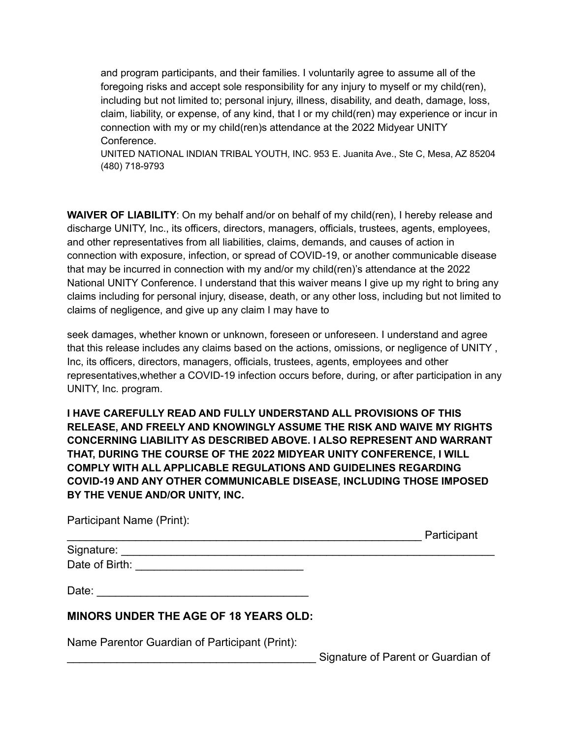and program participants, and their families. I voluntarily agree to assume all of the foregoing risks and accept sole responsibility for any injury to myself or my child(ren), including but not limited to; personal injury, illness, disability, and death, damage, loss, claim, liability, or expense, of any kind, that I or my child(ren) may experience or incur in connection with my or my child(ren)s attendance at the 2022 Midyear UNITY Conference.

UNITED NATIONAL INDIAN TRIBAL YOUTH, INC. 953 E. Juanita Ave., Ste C, Mesa, AZ 85204 (480) 718-9793

**WAIVER OF LIABILITY**: On my behalf and/or on behalf of my child(ren), I hereby release and discharge UNITY, Inc., its officers, directors, managers, officials, trustees, agents, employees, and other representatives from all liabilities, claims, demands, and causes of action in connection with exposure, infection, or spread of COVID-19, or another communicable disease that may be incurred in connection with my and/or my child(ren)'s attendance at the 2022 National UNITY Conference. I understand that this waiver means I give up my right to bring any claims including for personal injury, disease, death, or any other loss, including but not limited to claims of negligence, and give up any claim I may have to

seek damages, whether known or unknown, foreseen or unforeseen. I understand and agree that this release includes any claims based on the actions, omissions, or negligence of UNITY , Inc, its officers, directors, managers, officials, trustees, agents, employees and other representatives,whether a COVID-19 infection occurs before, during, or after participation in any UNITY, Inc. program.

**I HAVE CAREFULLY READ AND FULLY UNDERSTAND ALL PROVISIONS OF THIS RELEASE, AND FREELY AND KNOWINGLY ASSUME THE RISK AND WAIVE MY RIGHTS CONCERNING LIABILITY AS DESCRIBED ABOVE. I ALSO REPRESENT AND WARRANT THAT, DURING THE COURSE OF THE 2022 MIDYEAR UNITY CONFERENCE, I WILL COMPLY WITH ALL APPLICABLE REGULATIONS AND GUIDELINES REGARDING COVID-19 AND ANY OTHER COMMUNICABLE DISEASE, INCLUDING THOSE IMPOSED BY THE VENUE AND/OR UNITY, INC.**

Participant Name (Print):

|                | Participant |
|----------------|-------------|
| Signature:     |             |
| Date of Birth: |             |
| Date:          |             |

## **MINORS UNDER THE AGE OF 18 YEARS OLD:**

Name Parentor Guardian of Participant (Print):

Signature of Parent or Guardian of